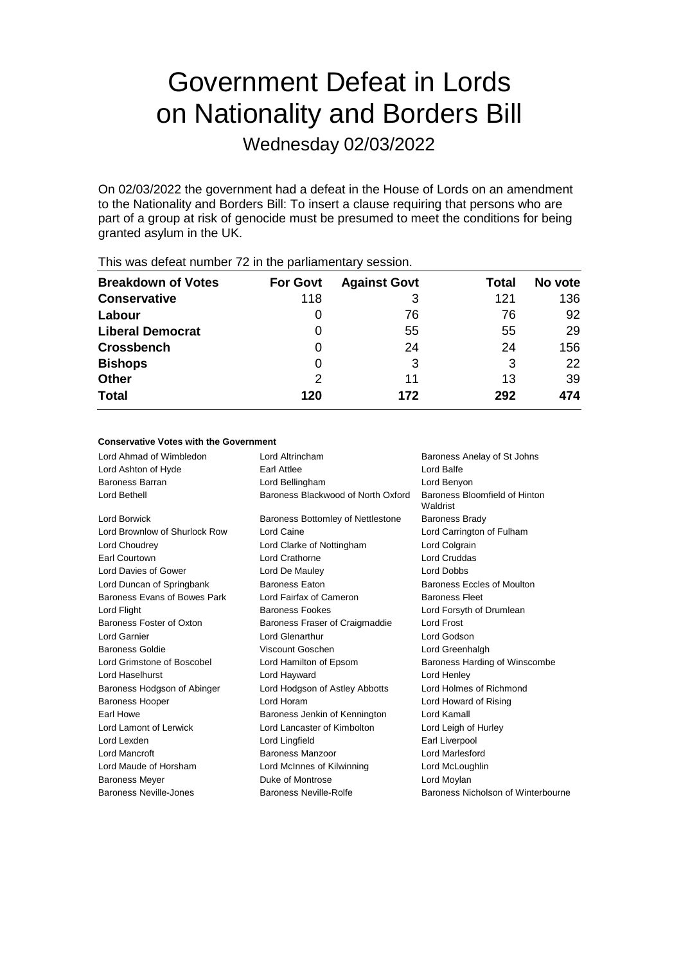# Government Defeat in Lords on Nationality and Borders Bill

Wednesday 02/03/2022

On 02/03/2022 the government had a defeat in the House of Lords on an amendment to the Nationality and Borders Bill: To insert a clause requiring that persons who are part of a group at risk of genocide must be presumed to meet the conditions for being granted asylum in the UK.

| <b>Breakdown of Votes</b> | <b>For Govt</b> | <b>Against Govt</b> | Total | No vote |
|---------------------------|-----------------|---------------------|-------|---------|
| <b>Conservative</b>       | 118             | 3                   | 121   | 136     |
| Labour                    | 0               | 76                  | 76    | 92      |
| <b>Liberal Democrat</b>   | 0               | 55                  | 55    | 29      |
| <b>Crossbench</b>         | 0               | 24                  | 24    | 156     |
| <b>Bishops</b>            | 0               | 3                   | 3     | 22      |
| <b>Other</b>              | 2               | 11                  | 13    | 39      |
| <b>Total</b>              | 120             | 172                 | 292   | 474     |

This was defeat number 72 in the parliamentary session.

## **Conservative Votes with the Government**

| Lord Ahmad of Wimbledon       | Lord Altrincham                    | Baroness Anelay of St Johns               |
|-------------------------------|------------------------------------|-------------------------------------------|
| Lord Ashton of Hyde           | Earl Attlee                        | Lord Balfe                                |
| Baroness Barran               | Lord Bellingham                    | Lord Benyon                               |
| Lord Bethell                  | Baroness Blackwood of North Oxford | Baroness Bloomfield of Hinton<br>Waldrist |
| <b>Lord Borwick</b>           | Baroness Bottomley of Nettlestone  | <b>Baroness Brady</b>                     |
| Lord Brownlow of Shurlock Row | Lord Caine                         | Lord Carrington of Fulham                 |
| Lord Choudrey                 | Lord Clarke of Nottingham          | Lord Colgrain                             |
| Earl Courtown                 | Lord Crathorne                     | <b>Lord Cruddas</b>                       |
| Lord Davies of Gower          | Lord De Mauley                     | <b>Lord Dobbs</b>                         |
| Lord Duncan of Springbank     | <b>Baroness Eaton</b>              | Baroness Eccles of Moulton                |
| Baroness Evans of Bowes Park  | Lord Fairfax of Cameron            | <b>Baroness Fleet</b>                     |
| Lord Flight                   | <b>Baroness Fookes</b>             | Lord Forsyth of Drumlean                  |
| Baroness Foster of Oxton      | Baroness Fraser of Craigmaddie     | <b>Lord Frost</b>                         |
| <b>Lord Garnier</b>           | Lord Glenarthur                    | Lord Godson                               |
| <b>Baroness Goldie</b>        | Viscount Goschen                   | Lord Greenhalgh                           |
| Lord Grimstone of Boscobel    | Lord Hamilton of Epsom             | Baroness Harding of Winscombe             |
| Lord Haselhurst               | Lord Hayward                       | Lord Henley                               |
| Baroness Hodgson of Abinger   | Lord Hodgson of Astley Abbotts     | Lord Holmes of Richmond                   |
| <b>Baroness Hooper</b>        | Lord Horam                         | Lord Howard of Rising                     |
| Earl Howe                     | Baroness Jenkin of Kennington      | Lord Kamall                               |
| Lord Lamont of Lerwick        | Lord Lancaster of Kimbolton        | Lord Leigh of Hurley                      |
| Lord Lexden                   | Lord Lingfield                     | Earl Liverpool                            |
| Lord Mancroft                 | Baroness Manzoor                   | Lord Marlesford                           |
| Lord Maude of Horsham         | Lord McInnes of Kilwinning         | Lord McLoughlin                           |
| <b>Baroness Meyer</b>         | Duke of Montrose                   | Lord Moylan                               |
| Baroness Neville-Jones        | Baroness Neville-Rolfe             | Baroness Nicholson of Winterbourne        |
|                               |                                    |                                           |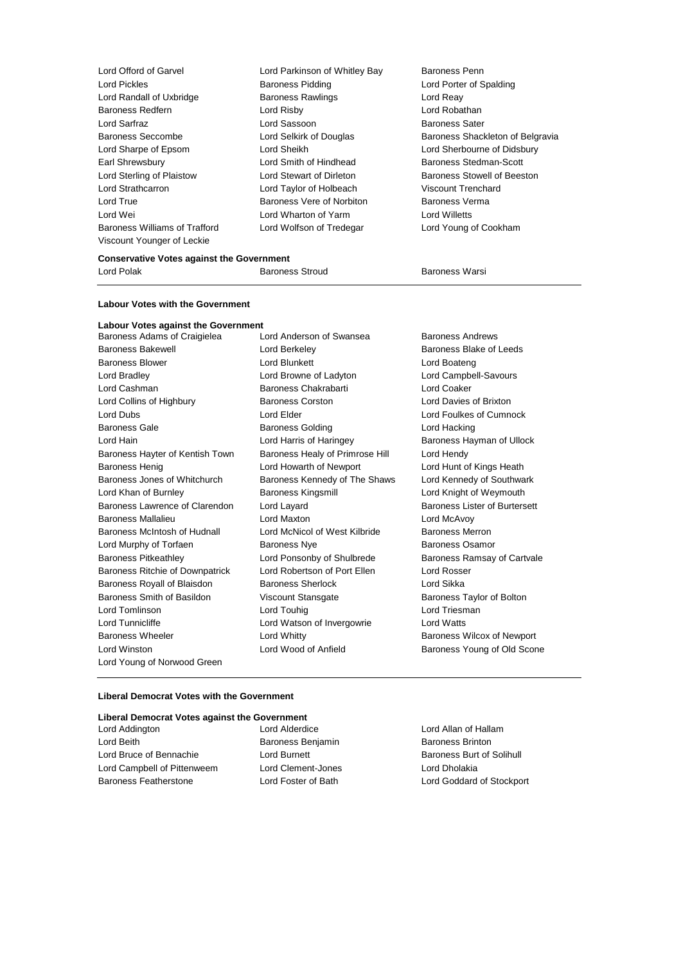| Lord Offord of Garvel                | Lord Parkinson of Whitley Bay | Baroness Penn                    |
|--------------------------------------|-------------------------------|----------------------------------|
| Lord Pickles                         | <b>Baroness Pidding</b>       | Lord Porter of Spalding          |
| Lord Randall of Uxbridge             | <b>Baroness Rawlings</b>      | Lord Reay                        |
| <b>Baroness Redfern</b>              | Lord Risby                    | Lord Robathan                    |
| Lord Sarfraz                         | Lord Sassoon                  | <b>Baroness Sater</b>            |
| <b>Baroness Seccombe</b>             | Lord Selkirk of Douglas       | Baroness Shackleton of Belgravia |
| Lord Sharpe of Epsom                 | Lord Sheikh                   | Lord Sherbourne of Didsbury      |
| Earl Shrewsbury                      | Lord Smith of Hindhead        | Baroness Stedman-Scott           |
| Lord Sterling of Plaistow            | Lord Stewart of Dirleton      | Baroness Stowell of Beeston      |
| Lord Strathcarron                    | Lord Taylor of Holbeach       | Viscount Trenchard               |
| Lord True                            | Baroness Vere of Norbiton     | Baroness Verma                   |
| Lord Wei                             | Lord Wharton of Yarm          | Lord Willetts                    |
| <b>Baroness Williams of Trafford</b> | Lord Wolfson of Tredegar      | Lord Young of Cookham            |
| Viscount Younger of Leckie           |                               |                                  |
|                                      |                               |                                  |

## **Conservative Votes against the Government** Lord Polak **Baroness Stroud** Baroness Stroud Baroness Warsi

**Labour Votes with the Government**

## **Labour Votes against the Government**

Baroness Adams of Craigielea Lord Anderson of Swansea Baroness Andrews Baroness Bakewell **Baroness Blake of Leeds** Lord Berkeley **Baroness Blake of Leeds** Baroness Blower **Lord Blunkett** Lord Boateng Lord Boateng Lord Bradley Lord Browne of Ladyton Lord Campbell-Savours Lord Cashman Baroness Chakrabarti Lord Coaker Lord Collins of Highbury Baroness Corston Lord Davies of Brixton Lord Dubs Lord Elder Lord Foulkes of Cumnock Baroness Gale **Baroness Golding** Baroness Golding Lord Hacking Lord Hain Lord Harris of Haringey Baroness Hayman of Ullock Baroness Hayter of Kentish Town Baroness Healy of Primrose Hill Lord Hendy Baroness Henig Lord Howarth of Newport Lord Hunt of Kings Heath Baroness Jones of Whitchurch Baroness Kennedy of The Shaws Lord Kennedy of Southwark Lord Khan of Burnley Baroness Kingsmill Lord Knight of Weymouth Baroness Lawrence of Clarendon Lord Layard **Baroness Lister of Burtersett** Baroness Mallalieu Lord Maxton Lord McAvoy Baroness McIntosh of Hudnall Lord McNicol of West Kilbride Baroness Merron Lord Murphy of Torfaen **Baroness Nye** Baroness Osamor Baroness Pitkeathley Lord Ponsonby of Shulbrede Baroness Ramsay of Cartvale Baroness Ritchie of Downpatrick Lord Robertson of Port Ellen Lord Rosser Baroness Royall of Blaisdon Baroness Sherlock Lord Sikka Baroness Smith of Basildon Viscount Stansgate Baroness Taylor of Bolton Lord Tomlinson **Lord Touhig Lord Touhig Lord Triesman** Lord Tunnicliffe Lord Watson of Invergowrie Lord Watts Baroness Wheeler **Lord Whitty Baroness Wilcox of Newport Baroness Wilcox of Newport** Lord Winston **Lord Wood of Anfield** Baroness Young of Old Scone Lord Young of Norwood Green

#### **Liberal Democrat Votes with the Government**

# **Liberal Democrat Votes against the Government**

| Lord Addington               | Lord |
|------------------------------|------|
| Lord Beith                   | Baro |
| Lord Bruce of Bennachie      | Lord |
| Lord Campbell of Pittenweem  | Lord |
| <b>Baroness Featherstone</b> | Lord |

Clement-Jones Lord Dholakia

Alderdice Lord Allan of Hallam ness Benjamin Baroness Brinton Burnett Burnett Baroness Burt of Solihull Foster of Bath Lord Goddard of Stockport